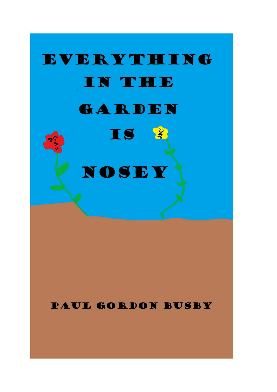

# **PAUL GORDON BUSBY**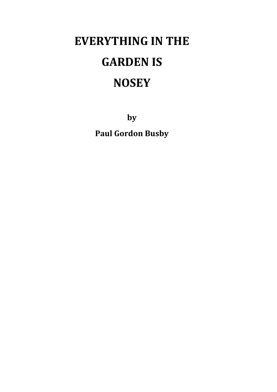# **EVERYTHING IN THE GARDEN IS NOSEY**

**by**

**Paul Gordon Busby**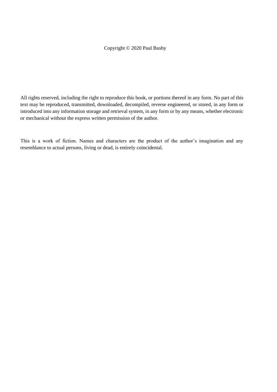#### Copyright © 2020 Paul Busby

All rights reserved, including the right to reproduce this book, or portions thereof in any form. No part of this text may be reproduced, transmitted, downloaded, decompiled, reverse engineered, or stored, in any form or introduced into any information storage and retrieval system, in any form or by any means, whether electronic or mechanical without the express written permission of the author.

This is a work of fiction. Names and characters are the product of the author's imagination and any resemblance to actual persons, living or dead, is entirely coincidental.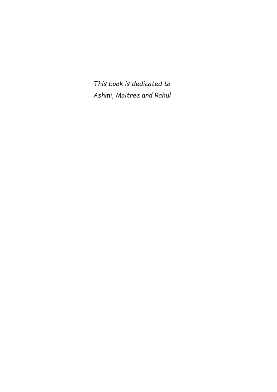*This book is dedicated to Ashmi, Moitree and Rahul*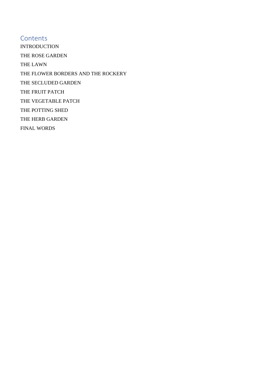**Contents** [INTRODUCTION](#page-6-0) [THE ROSE GARDEN](#page-7-0) [THE LAWN](#page-11-0) [THE FLOWER BORDERS AND THE ROCKERY](#page-15-0) [THE SECLUDED GARDEN](#page-19-0) [THE FRUIT PATCH](#page-23-0) [THE VEGETABLE PATCH](#page-27-0) [THE POTTING SHED](#page-30-0) [THE HERB GARDEN](#page-34-0) [FINAL WORDS](#page-37-0)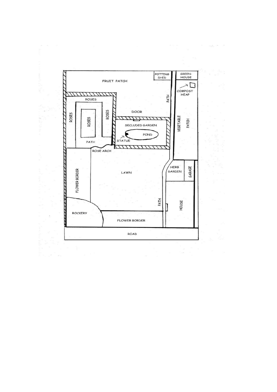

 $\mathcal{L}_{\mathcal{F},\mathcal{F},\mathcal{G}}$  .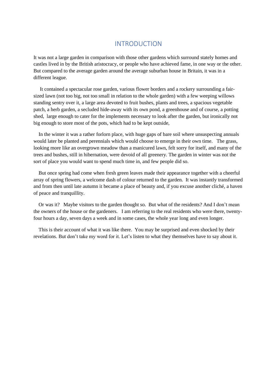#### INTRODUCTION

<span id="page-6-0"></span>It was not a large garden in comparison with those other gardens which surround stately homes and castles lived in by the British aristocracy, or people who have achieved fame, in one way or the other. But compared to the average garden around the average suburban house in Britain, it was in a different league.

 It contained a spectacular rose garden, various flower borders and a rockery surrounding a fairsized lawn (not too big, not too small in relation to the whole garden) with a few weeping willows standing sentry over it, a large area devoted to fruit bushes, plants and trees, a spacious vegetable patch, a herb garden, a secluded hide-away with its own pond, a greenhouse and of course, a potting shed, large enough to cater for the implements necessary to look after the garden, but ironically not big enough to store most of the pots, which had to be kept outside,

 In the winter it was a rather forlorn place, with huge gaps of bare soil where unsuspecting annuals would later be planted and perennials which would choose to emerge in their own time. The grass, looking more like an overgrown meadow than a manicured lawn, felt sorry for itself, and many of the trees and bushes, still in hibernation, were devoid of all greenery. The garden in winter was not the sort of place you would want to spend much time in, and few people did so.

 But once spring had come when fresh green leaves made their appearance together with a cheerful array of spring flowers, a welcome dash of colour returned to the garden. It was instantly transformed and from then until late autumn it became a place of beauty and, if you excuse another cliché, a haven of peace and tranquillity.

 Or was it? Maybe visitors to the garden thought so. But what of the residents? And I don't mean the owners of the house or the gardeners. I am referring to the real residents who were there, twentyfour hours a day, seven days a week and in some cases, the whole year long and even longer.

 This is their account of what it was like there. You may be surprised and even shocked by their revelations. But don't take my word for it. Let's listen to what they themselves have to say about it.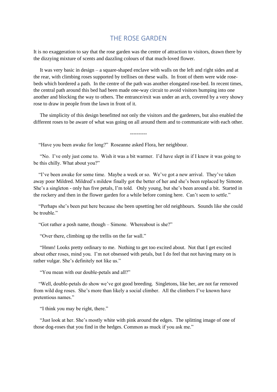### THE ROSE GARDEN

<span id="page-7-0"></span>It is no exaggeration to say that the rose garden was the centre of attraction to visitors, drawn there by the dizzying mixture of scents and dazzling colours of that much-loved flower.

 It was very basic in design – a square-shaped enclave with walls on the left and right sides and at the rear, with climbing roses supported by trellises on these walls. In front of them were wide rosebeds which bordered a path. In the centre of the path was another elongated rose-bed. In recent times, the central path around this bed had been made one-way circuit to avoid visitors bumping into one another and blocking the way to others. The entrance/exit was under an arch, covered by a very showy rose to draw in people from the lawn in front of it.

 The simplicity of this design benefitted not only the visitors and the gardeners, but also enabled the different roses to be aware of what was going on all around them and to communicate with each other.

----------

"Have you been awake for long?" Roseanne asked Flora, her neighbour.

 "No. I've only just come to. Wish it was a bit warmer. I'd have slept in if I knew it was going to be this chilly. What about you?"

 "I've been awake for some time. Maybe a week or so. We've got a new arrival. They've taken away poor Mildred. Mildred's mildew finally got the better of her and she's been replaced by Simone. She's a singleton - only has five petals, I'm told. Only young, but she's been around a bit. Started in the rockery and then in the flower garden for a while before coming here. Can't seem to settle."

 "Perhaps she's been put here because she been upsetting her old neighbours. Sounds like she could be trouble."

"Got rather a posh name, though – Simone. Whereabout is she?"

"Over there, climbing up the trellis on the far wall."

 "Hmm! Looks pretty ordinary to me. Nothing to get too excited about. Not that I get excited about other roses, mind you. I'm not obsessed with petals, but I do feel that not having many on is rather vulgar. She's definitely not like us."

"You mean with our double-petals and all?"

 "Well, double-petals do show we've got good breeding. Singletons, like her, are not far removed from wild dog roses. She's more than likely a social climber. All the climbers I've known have pretentious names."

"I think you may be right, there."

 "Just look at her. She's mostly white with pink around the edges. The splitting image of one of those dog-roses that you find in the hedges. Common as muck if you ask me."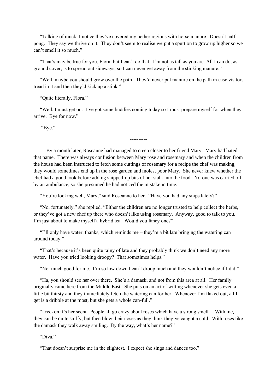"Talking of muck, I notice they've covered my nether regions with horse manure. Doesn't half pong. They say we thrive on it. They don't seem to realise we put a spurt on to grow up higher so we can't smell it so much."

 "That's may be true for you, Flora, but I can't do that. I'm not as tall as you are. All I can do, as ground cover, is to spread out sideways, so I can never get away from the stinking manure."

 "Well, maybe you should grow over the path. They'd never put manure on the path in case visitors tread in it and then they'd kick up a stink."

"Quite literally, Flora."

 "Well, I must get on. I've got some buddies coming today so I must prepare myself for when they arrive. Bye for now."

----------

"Bye."

 By a month later, Roseanne had managed to creep closer to her friend Mary. Mary had hated that name. There was always confusion between Mary rose and rosemary and when the children from the house had been instructed to fetch some cuttings of rosemary for a recipe the chef was making, they would sometimes end up in the rose garden and molest poor Mary. She never knew whether the chef had a good look before adding snipped-up bits of her stalk into the food. No-one was carried off by an ambulance, so she presumed he had noticed the mistake in time.

"You're looking well, Mary," said Roseanne to her. "Have you had any snips lately?"

 "No, fortunately," she replied. "Either the children are no longer trusted to help collect the herbs, or they've got a new chef up there who doesn't like using rosemary. Anyway, good to talk to you. I'm just about to make myself a hybrid tea. Would you fancy one?"

 "I'll only have water, thanks, which reminds me – they're a bit late bringing the watering can around today."

 "That's because it's been quite rainy of late and they probably think we don't need any more water. Have you tried looking droopy? That sometimes helps."

"Not much good for me. I'm so low down I can't droop much and they wouldn't notice if I did."

 "Ha, you should see her over there. She's a damask, and not from this area at all. Her family originally came here from the Middle East. She puts on an act of wilting whenever she gets even a little bit thirsty and they immediately fetch the watering can for her. Whenever I'm flaked out, all I get is a dribble at the most, but she gets a whole can-full."

 "I reckon it's her scent. People all go crazy about roses which have a strong smell. With me, they can be quite sniffy, but then blow their noses as they think they've caught a cold. With roses like the damask they walk away smiling. By the way, what's her name?"

"Diva."

"That doesn't surprise me in the slightest. I expect she sings and dances too."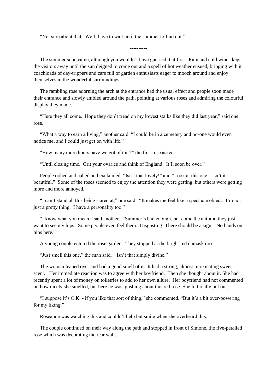"Not sure about that. We'll have to wait until the summer to find out."

 The summer soon came, although you wouldn't have guessed it at first. Rain and cold winds kept the visitors away until the sun deigned to come out and a spell of hot weather ensued, bringing with it coachloads of day-trippers and cars full of garden enthusiasts eager to mooch around and enjoy themselves in the wonderful surroundings.

----------

 The rambling rose adorning the arch at the entrance had the usual effect and people soon made their entrance and slowly ambled around the path, pointing at various roses and admiring the colourful display they made.

 "Here they all come. Hope they don't tread on my lowest stalks like they did last year," said one rose.

 "What a way to earn a living," another said. "I could be in a cemetery and no-one would even notice me, and I could just get on with life."

"How many more hours have we got of this?" the first rose asked.

"Until closing time. Grit your ovaries and think of England. It'll soon be over."

 People oohed and aahed and exclaimed: "Isn't that lovely!" and "Look at this one – isn't it beautiful." Some of the roses seemed to enjoy the attention they were getting, but others were getting more and more annoyed.

 "I can't stand all this being stared at," one said. "It makes me feel like a spectacle object. I'm not just a pretty thing. I have a personality too."

 "I know what you mean," said another. "Summer's bad enough, but come the autumn they just want to see my hips. Some people even feel them. Disgusting! There should be a sign – No hands on hips here."

A young couple entered the rose garden. They stopped at the bright red damask rose.

"Just smell this one," the man said. "Isn't that simply divine."

 The woman leaned over and had a good smell of it. It had a strong, almost intoxicating sweet scent. Her immediate reaction was to agree with her boyfriend. Then she thought about it. She had recently spent a lot of money on toiletries to add to her own allure. Her boyfriend had not commented on how nicely she smelled, but here he was, gushing about this red rose. She felt really put out.

 "I suppose it's O.K. - if you like that sort of thing," she commented. "But it's a bit over-powering for my liking."

Roseanne was watching this and couldn't help but smile when she overheard this.

 The couple continued on their way along the path and stopped in front of Simone, the five-petalled rose which was decorating the rear wall.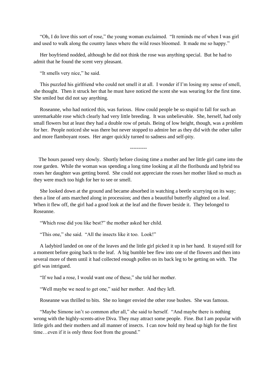"Oh, I do love this sort of rose," the young woman exclaimed. "It reminds me of when I was girl and used to walk along the country lanes where the wild roses bloomed. It made me so happy."

 Her boyfriend nodded, although he did not think the rose was anything special. But he had to admit that he found the scent very pleasant.

"It smells very nice," he said.

 This puzzled his girlfriend who could not smell it at all. I wonder if I'm losing my sense of smell, she thought. Then it struck her that he must have noticed the scent she was wearing for the first time. She smiled but did not say anything.

 Roseanne, who had noticed this, was furious. How could people be so stupid to fall for such an unremarkable rose which clearly had very little breeding. It was unbelievable. She, herself, had only small flowers but at least they had a double row of petals. Being of low height, though, was a problem for her. People noticed she was there but never stopped to admire her as they did with the other taller and more flamboyant roses. Her anger quickly turned to sadness and self-pity.

----------

 The hours passed very slowly. Shortly before closing time a mother and her little girl came into the rose garden. While the woman was spending a long time looking at all the floribunda and hybrid tea roses her daughter was getting bored. She could not appreciate the roses her mother liked so much as they were much too high for her to see or smell.

 She looked down at the ground and became absorbed in watching a beetle scurrying on its way; then a line of ants marched along in procession; and then a beautiful butterfly alighted on a leaf. When it flew off, the girl had a good look at the leaf and the flower beside it. They belonged to Roseanne.

"Which rose did you like best?" the mother asked her child.

"This one," she said. "All the insects like it too. Look!"

 A ladybird landed on one of the leaves and the little girl picked it up in her hand. It stayed still for a moment before going back to the leaf. A big bumble bee flew into one of the flowers and then into several more of them until it had collected enough pollen on its back leg to be getting on with. The girl was intrigued.

"If we had a rose, I would want one of these," she told her mother.

"Well maybe we need to get one," said her mother. And they left.

Roseanne was thrilled to bits. She no longer envied the other rose bushes. She was famous.

 "Maybe Simone isn't so common after all," she said to herself. "And maybe there is nothing wrong with the highly-scents-ative Diva. They may attract some people. Fine. But I am popular with little girls and their mothers and all manner of insects. I can now hold my head up high for the first time…even if it is only three foot from the ground."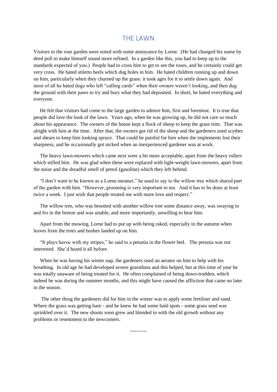#### THE LAWN

<span id="page-11-0"></span>Visitors to the rose garden were noted with some annoyance by Lorne. (He had changed his name by deed poll to make himself sound more refined. In a garden like this, you had to keep up to the standards expected of you.) People had to cross him to get to see the roses, and he certainly could get very cross. He hated stiletto heels which dug holes in him. He hated children running up and down on him, particularly when they churned up the grass: it took ages for it to settle down again. And most of all he hated dogs who left "calling cards" when their owners weren't looking, and then dug the ground with their paws to try and bury what they had deposited. In short, he hated everything and everyone.

 He felt that visitors had come to the large garden to admire him, first and foremost. It is true that people did love the look of the lawn. Years ago, when he was growing up, he did not care so much about his appearance. The owners of the house kept a flock of sheep to keep the grass trim. That was alright with him at the time. After that, the owners got rid of the sheep and the gardeners used scythes and shears to keep him looking spruce. That could be painful for him when the implements lost their sharpness, and he occasionally got nicked when an inexperienced gardener was at work.

 The heavy lawn-mowers which came next were a bit more acceptable, apart from the heavy rollers which stifled him. He was glad when these were replaced with light-weight lawn-mowers, apart from the noise and the dreadful smell of petrol (gasoline) which they left behind.

 "I don't want to be known as a Lorne-moaner," he used to say to the willow tree which shared part of the garden with him. "However, grooming is very important to me. And it has to be done at least twice a week. I just wish that people treated me with more love and respect."

 The willow tree, who was besotted with another willow tree some distance away, was swaying to and fro in the breeze and was unable, and more importantly, unwilling to hear him.

 Apart from the mowing, Lorne had to put up with being raked, especially in the autumn when leaves from the trees and bushes landed up on him.

 "It plays havoc with my stripes," he said to a petunia in the flower bed. The petunia was not interested. She'd heard it all before.

 When he was having his winter nap, the gardeners used an aerator on him to help with his breathing. In old age he had developed severe grassthma and this helped, but at this time of year he was totally unaware of being treated for it. He often complained of being down-trodden, which indeed he was during the summer months, and this might have caused the affliction that came on later in the season.

 The other thing the gardeners did for him in the winter was to apply some fertiliser and sand. Where the grass was getting bare - and he knew he had some bald spots - some grass seed was sprinkled over it. The new shoots soon grew and blended in with the old growth without any problems or resentment to the newcomers.

----------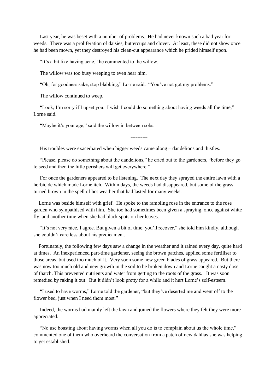Last year, he was beset with a number of problems. He had never known such a bad year for weeds. There was a proliferation of daisies, buttercups and clover. At least, these did not show once he had been mown, yet they destroyed his clean-cut appearance which he prided himself upon.

"It's a bit like having acne," he commented to the willow.

The willow was too busy weeping to even hear him.

"Oh, for goodness sake, stop blabbing," Lorne said. "You've not got my problems."

The willow continued to weep.

 "Look, I'm sorry if I upset you. I wish I could do something about having weeds all the time," Lorne said.

"Maybe it's your age," said the willow in between sobs.

----------

His troubles were exacerbated when bigger weeds came along – dandelions and thistles.

 "Please, please do something about the dandelions," he cried out to the gardeners, "before they go to seed and then the little perishers will get everywhere."

 For once the gardeners appeared to be listening. The next day they sprayed the entire lawn with a herbicide which made Lorne itch. Within days, the weeds had disappeared, but some of the grass turned brown in the spell of hot weather that had lasted for many weeks.

 Lorne was beside himself with grief. He spoke to the rambling rose in the entrance to the rose garden who sympathised with him. She too had sometimes been given a spraying, once against white fly, and another time when she had black spots on her leaves.

 "It's not very nice, I agree. But given a bit of time, you'll recover," she told him kindly, although she couldn't care less about his predicament.

 Fortunately, the following few days saw a change in the weather and it rained every day, quite hard at times. An inexperienced part-time gardener, seeing the brown patches, applied some fertiliser to those areas, but used too much of it. Very soon some new green blades of grass appeared. But there was now too much old and new growth in the soil to be broken down and Lorne caught a nasty dose of thatch. This prevented nutrients and water from getting to the roots of the grass. It was soon remedied by raking it out. But it didn't look pretty for a while and it hurt Lorne's self-esteem.

 "I used to have worms," Lorne told the gardener, "but they've deserted me and went off to the flower bed, just when I need them most."

 Indeed, the worms had mainly left the lawn and joined the flowers where they felt they were more appreciated.

 "No use boasting about having worms when all you do is to complain about us the whole time," commented one of them who overheard the conversation from a patch of new dahlias she was helping to get established.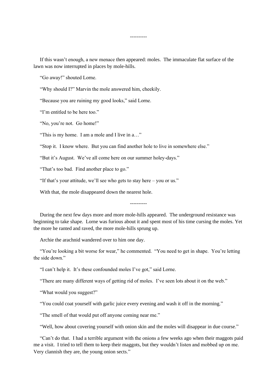----------

 If this wasn't enough, a new menace then appeared: moles. The immaculate flat surface of the lawn was now interrupted in places by mole-hills.

"Go away!" shouted Lorne.

"Why should I?" Marvin the mole answered him, cheekily.

"Because you are ruining my good looks," said Lorne.

"I'm entitled to be here too."

"No, you're not. Go home!"

"This is my home. I am a mole and I live in a…"

"Stop it. I know where. But you can find another hole to live in somewhere else."

"But it's August. We've all come here on our summer holey-days."

"That's too bad. Find another place to go."

"If that's your attitude, we'll see who gets to stay here – you or us."

With that, the mole disappeared down the nearest hole.

----------

 During the next few days more and more mole-hills appeared. The underground resistance was beginning to take shape. Lorne was furious about it and spent most of his time cursing the moles. Yet the more he ranted and raved, the more mole-hills sprung up.

Archie the arachnid wandered over to him one day.

 "You're looking a bit worse for wear," he commented. "You need to get in shape. You're letting the side down."

"I can't help it. It's these confounded moles I've got," said Lorne.

"There are many different ways of getting rid of moles. I've seen lots about it on the web."

"What would you suggest?"

"You could coat yourself with garlic juice every evening and wash it off in the morning."

"The smell of that would put off anyone coming near me."

"Well, how about covering yourself with onion skin and the moles will disappear in due course."

 "Can't do that. I had a terrible argument with the onions a few weeks ago when their maggots paid me a visit. I tried to tell them to keep their maggots, but they wouldn't listen and mobbed up on me. Very clannish they are, the young onion sects."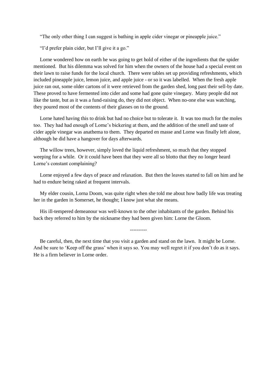"The only other thing I can suggest is bathing in apple cider vinegar or pineapple juice."

"I'd prefer plain cider, but I'll give it a go."

 Lorne wondered how on earth he was going to get hold of either of the ingredients that the spider mentioned. But his dilemma was solved for him when the owners of the house had a special event on their lawn to raise funds for the local church. There were tables set up providing refreshments, which included pineapple juice, lemon juice, and apple juice - or so it was labelled. When the fresh apple juice ran out, some older cartons of it were retrieved from the garden shed, long past their sell-by date. These proved to have fermented into cider and some had gone quite vinegary. Many people did not like the taste, but as it was a fund-raising do, they did not object. When no-one else was watching, they poured most of the contents of their glasses on to the ground.

 Lorne hated having this to drink but had no choice but to tolerate it. It was too much for the moles too. They had had enough of Lorne's bickering at them, and the addition of the smell and taste of cider apple vinegar was anathema to them. They departed en masse and Lorne was finally left alone, although he did have a hangover for days afterwards.

 The willow trees, however, simply loved the liquid refreshment, so much that they stopped weeping for a while. Or it could have been that they were all so blotto that they no longer heard Lorne's constant complaining?

 Lorne enjoyed a few days of peace and relaxation. But then the leaves started to fall on him and he had to endure being raked at frequent intervals.

 My elder cousin, Lorna Doom, was quite right when she told me about how badly life was treating her in the garden in Somerset, he thought; I know just what she means.

 His ill-tempered demeanour was well-known to the other inhabitants of the garden. Behind his back they referred to him by the nickname they had been given him: Lorne the Gloom.

 Be careful, then, the next time that you visit a garden and stand on the lawn. It might be Lorne. And be sure to 'Keep off the grass' when it says so. You may well regret it if you don't do as it says. He is a firm believer in Lorne order.

----------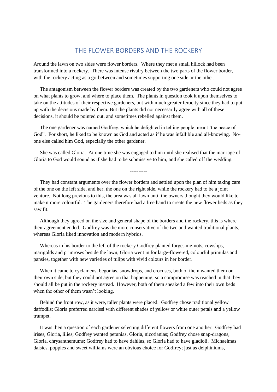### THE FLOWER BORDERS AND THE ROCKERY

<span id="page-15-0"></span>Around the lawn on two sides were flower borders. Where they met a small hillock had been transformed into a rockery. There was intense rivalry between the two parts of the flower border, with the rockery acting as a go-between and sometimes supporting one side or the other.

 The antagonism between the flower borders was created by the two gardeners who could not agree on what plants to grow, and where to place them. The plants in question took it upon themselves to take on the attitudes of their respective gardeners, but with much greater ferocity since they had to put up with the decisions made by them. But the plants did not necessarily agree with all of these decisions, it should be pointed out, and sometimes rebelled against them.

 The one gardener was named Godfrey, which he delighted in telling people meant 'the peace of God". For short, he liked to be known as God and acted as if he was infallible and all-knowing. Noone else called him God, especially the other gardener.

 She was called Gloria. At one time she was engaged to him until she realised that the marriage of Gloria to God would sound as if she had to be submissive to him, and she called off the wedding.

----------

 They had constant arguments over the flower borders and settled upon the plan of him taking care of the one on the left side, and her, the one on the right side, while the rockery had to be a joint venture. Not long previous to this, the area was all lawn until the owners thought they would like to make it more colourful. The gardeners therefore had a free hand to create the new flower beds as they saw fit.

 Although they agreed on the size and general shape of the borders and the rockery, this is where their agreement ended. Godfrey was the more conservative of the two and wanted traditional plants, whereas Gloria liked innovation and modern hybrids.

 Whereas in his border to the left of the rockery Godfrey planted forget-me-nots, cowslips, marigolds and primroses beside the lawn, Gloria went in for large-flowered, colourful primulas and pansies, together with new varieties of tulips with vivid colours in her border.

 When it came to cyclamens, begonias, snowdrops, and crocuses, both of them wanted them on their own side, but they could not agree on that happening, so a compromise was reached in that they should all be put in the rockery instead. However, both of them sneaked a few into their own beds when the other of them wasn't looking.

 Behind the front row, as it were, taller plants were placed. Godfrey chose traditional yellow daffodils; Gloria preferred narcissi with different shades of yellow or white outer petals and a yellow trumpet.

 It was then a question of each gardener selecting different flowers from one another. Godfrey had irises, Gloria, lilies; Godfrey wanted petunias, Gloria, nicotianias; Godfrey chose snap-dragons, Gloria, chrysanthemums; Godfrey had to have dahlias, so Gloria had to have gladioli. Michaelmas daisies, poppies and sweet williams were an obvious choice for Godfrey; just as delphiniums,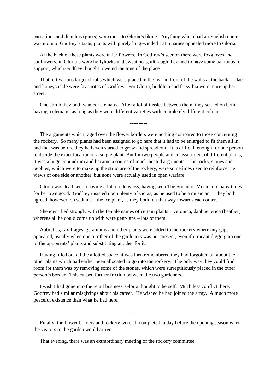carnations and dianthus (pinks) were more to Gloria's liking. Anything which had an English name was more to Godfrey's taste; plants with purely long-winded Latin names appealed more to Gloria.

 At the back of these plants were taller flowers. In Godfrey's section there were foxgloves and sunflowers; in Gloria's were hollyhocks and sweet peas, although they had to have some bamboos for support, which Godfrey thought lowered the tone of the place.

 That left various larger shrubs which were placed in the rear in front of the walls at the back. Lilac and honeysuckle were favourites of Godfrey. For Gloria, buddleia and forsythia were more up her street.

 One shrub they both wanted: clematis. After a lot of tussles between them, they settled on both having a clematis, as long as they were different varieties with completely different colours.

 The arguments which raged over the flower borders were nothing compared to those concerning the rockery. So many plants had been assigned to go here that it had to be enlarged to fit them all in, and that was before they had even started to grow and spread out. It is difficult enough for one person to decide the exact location of a single plant. But for two people and an assortment of different plants, it was a huge conundrum and became a source of much-heated arguments. The rocks, stones and pebbles, which were to make up the structure of the rockery, were sometimes used to reinforce the views of one side or another, but none were actually used in open warfare.

----------

 Gloria was dead-set on having a lot of edelweiss, having seen The Sound of Music too many times for her own good. Godfrey insisted upon plenty of violas, as he used to be a musician. They both agreed, however, on sedums – the ice plant, as they both felt that way towards each other.

 She identified strongly with the female names of certain plants – veronica, daphne, erica (heather), whereas all he could come up with were gent-ians – lots of them.

 Aubretias, saxifrages, geraniums and other plants were added to the rockery where any gaps appeared, usually when one or other of the gardeners was not present, even if it meant digging up one of the opponents' plants and substituting another for it.

 Having filled out all the allotted space, it was then remembered they had forgotten all about the other plants which had earlier been allocated to go into the rockery. The only way they could find room for them was by removing some of the stones, which were surreptitiously placed in the other person's border. This caused further friction between the two gardeners.

 I wish I had gone into the retail business, Gloria thought to herself. Much less conflict there. Godfrey had similar misgivings about his career. He wished he had joined the army. A much more peaceful existence than what he had here.

----------

 Finally, the flower borders and rockery were all completed, a day before the opening season when the visitors to the garden would arrive.

That evening, there was an extraordinary meeting of the rockery committee.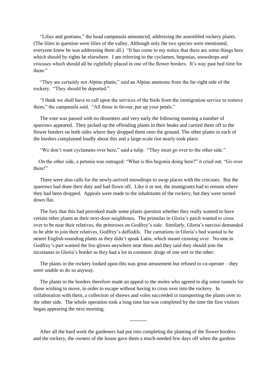"Lilies and gentians," the head campanula announced, addressing the assembled rockery plants. (The lilies in question were lilies of the valley. Although only the two species were mentioned, everyone knew he was addressing them all.) "It has come to my notice that there are some things here which should by rights be elsewhere. I am referring to the cyclamen, begonias, snowdrops and crocuses which should all be rightfully placed in one of the flower borders. It's way past bed time for them."

 "They are certainly not Alpine plants," said an Alpine anemone from the far-right side of the rockery. "They should be deported."

 "I think we shall have to call upon the services of the birds from the immigration service to remove them," the campanula said. "All those in favour, put up your petals."

 The vote was passed with no dissenters and very early the following morning a number of sparrows appeared. They picked up the offending plants in their beaks and carried them off to the flower borders on both sides where they dropped them onto the ground. The other plants in each of the borders complained loudly about this and a large-scale riot nearly took place.

"We don't want cyclamens over here," said a tulip. "They must go over to the other side."

 On the other side, a petunia was outraged: "What is this begonia doing here?" it cried out. "Go over there!"

 There were also calls for the newly-arrived snowdrops to swap places with the crocuses. But the sparrows had done their duty and had flown off. Like it or not, the immigrants had to remain where they had been dropped. Appeals were made to the inhabitants of the rockery, but they were turned down flat.

 The fury that this had provoked made some plants question whether they really wanted to have certain other plants as their next-door neighbours. The primulas in Gloria's patch wanted to cross over to be near their relatives, the primroses on Godfrey's side. Similarly, Gloria's narcissi demanded to be able to join their relatives, Godfrey's daffodils. The carnations in Gloria's bed wanted to be nearer English-sounding plants as they didn't speak Latin, which meant crossing over. No-one in Godfrey's part wanted the fox-gloves anywhere near them and they said they should join the nicotianas in Gloria's border as they had a lot in common: drugs of one sort or the other.

 The plants in the rockery looked upon this was great amusement but refused to co-operate – they were unable to do so anyway.

 The plants in the borders therefore made an appeal to the moles who agreed to dig some tunnels for those wishing to move, in order to escape without having to cross over into the rockery. In collaboration with them, a collection of shrews and voles succeeded in transporting the plants over to the other side. The whole operation took a long time but was completed by the time the first visitors began appearing the next morning.

----------

 After all the hard work the gardeners had put into completing the planting of the flower borders and the rockery, the owners of the house gave them a much-needed few days off when the gardens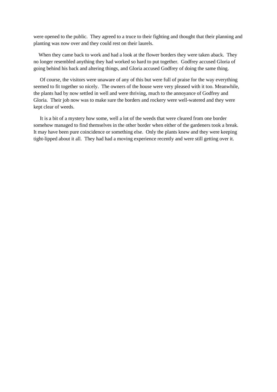were opened to the public. They agreed to a truce to their fighting and thought that their planning and planting was now over and they could rest on their laurels.

 When they came back to work and had a look at the flower borders they were taken aback. They no longer resembled anything they had worked so hard to put together. Godfrey accused Gloria of going behind his back and altering things, and Gloria accused Godfrey of doing the same thing.

 Of course, the visitors were unaware of any of this but were full of praise for the way everything seemed to fit together so nicely. The owners of the house were very pleased with it too. Meanwhile, the plants had by now settled in well and were thriving, much to the annoyance of Godfrey and Gloria. Their job now was to make sure the borders and rockery were well-watered and they were kept clear of weeds.

 It is a bit of a mystery how some, well a lot of the weeds that were cleared from one border somehow managed to find themselves in the other border when either of the gardeners took a break. It may have been pure coincidence or something else. Only the plants knew and they were keeping tight-lipped about it all. They had had a moving experience recently and were still getting over it.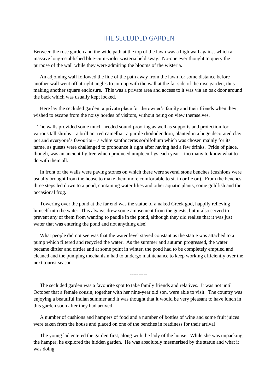#### THE SECLUDED GARDEN

<span id="page-19-0"></span>Between the rose garden and the wide path at the top of the lawn was a high wall against which a massive long-established blue-cum-violet wisteria held sway. No-one ever thought to query the purpose of the wall while they were admiring the blooms of the wisteria.

 An adjoining wall followed the line of the path away from the lawn for some distance before another wall went off at right angles to join up with the wall at the far side of the rose garden, thus making another square enclosure. This was a private area and access to it was via an oak door around the back which was usually kept locked.

 Here lay the secluded garden: a private place for the owner's family and their friends when they wished to escape from the noisy hordes of visitors, without being on view themselves.

 The walls provided some much-needed sound-proofing as well as supports and protection for various tall shrubs – a brilliant red camellia, a purple rhododendron, planted in a huge decorated clay pot and everyone's favourite – a white xanthoceras sorbifolium which was chosen mainly for its name, as guests were challenged to pronounce it right after having had a few drinks. Pride of place, though, was an ancient fig tree which produced umpteen figs each year – too many to know what to do with them all.

 In front of the walls were paving stones on which there were several stone benches (cushions were usually brought from the house to make them more comfortable to sit in or lie on). From the benches three steps led down to a pond, containing water lilies and other aquatic plants, some goldfish and the occasional frog.

 Towering over the pond at the far end was the statue of a naked Greek god, happily relieving himself into the water. This always drew some amusement from the guests, but it also served to prevent any of them from wanting to paddle in the pond, although they did realise that it was just water that was entering the pond and not anything else!

 What people did not see was that the water level stayed constant as the statue was attached to a pump which filtered and recycled the water. As the summer and autumn progressed, the water became dirtier and dirtier and at some point in winter, the pond had to be completely emptied and cleaned and the pumping mechanism had to undergo maintenance to keep working efficiently over the next tourist season.

 The secluded garden was a favourite spot to take family friends and relatives. It was not until October that a female cousin, together with her nine-year old son, were able to visit. The country was enjoying a beautiful Indian summer and it was thought that it would be very pleasant to have lunch in this garden soon after they had arrived.

----------

 A number of cushions and hampers of food and a number of bottles of wine and some fruit juices were taken from the house and placed on one of the benches in readiness for their arrival

 The young lad entered the garden first, along with the lady of the house. While she was unpacking the hamper, he explored the hidden garden. He was absolutely mesmerised by the statue and what it was doing.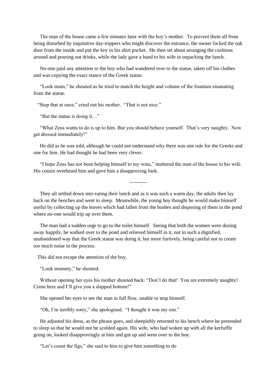The man of the house came a few minutes later with the boy's mother. To prevent them all from being disturbed by inquisitive day-trippers who might discover the entrance, the owner locked the oak door from the inside and put the key in his shirt pocket. He then set about arranging the cushions around and pouring out drinks, while the lady gave a hand to his wife in unpacking the lunch.

 No-one paid any attention to the boy who had wandered over to the statue, taken off his clothes and was copying the exact stance of the Greek statue.

 "Look mum," he shouted as he tried to match the height and volume of the fountain emanating from the statue.

"Stop that at once," cried out his mother. "That is not nice."

"But the statue is doing it…"

 "What Zeus wants to do is up to him. But you should behave yourself. That's very naughty. Now get dressed immediately!"

 He did as he was told, although he could not understand why there was one rule for the Greeks and one for him. He had thought he had been very clever.

 "I hope Zeus has not been helping himself to my wine," muttered the man of the house to his wife. His cousin overheard him and gave him a disapproving look.

----------

 They all settled down into eating their lunch and as it was such a warm day, the adults then lay back on the benches and went to sleep. Meanwhile, the young boy thought he would make himself useful by collecting up the leaves which had fallen from the bushes and disposing of them in the pond where no-one would trip up over them.

 The man had a sudden urge to go to the toilet himself. Seeing that both the women were dozing away happily, he walked over to the pond and relieved himself in it, not in such a dignified, unabandoned way that the Greek statue was doing it, but more furtively, being careful not to create too much noise in the process.

This did not escape the attention of the boy.

"Look mummy," he shouted.

 Without opening her eyes his mother shouted back: "Don't do that! You are extremely naughty! Come here and I'll give you a slapped bottom!"

She opened her eyes to see the man in full flow, unable to stop himself.

"Oh, I'm terribly sorry," she apologised. "I thought it was my son."

 He adjusted his dress, as the phrase goes, and sheepishly returned to his bench where he pretended to sleep so that he would not be scolded again. His wife, who had woken up with all the kerfuffle going on, looked disapprovingly at him and got up and went over to the boy.

"Let's count the figs," she said to him to give him something to do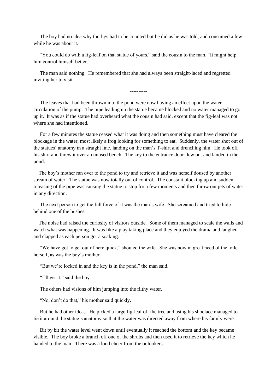The boy had no idea why the figs had to be counted but he did as he was told, and consumed a few while he was about it.

 "You could do with a fig-leaf on that statue of yours," said the cousin to the man. "It might help him control himself better."

 The man said nothing. He remembered that she had always been straight-laced and regretted inviting her to visit.

----------

 The leaves that had been thrown into the pond were now having an effect upon the water circulation of the pump. The pipe leading up the statue became blocked and no water managed to go up it. It was as if the statue had overheard what the cousin had said, except that the fig-leaf was not where she had intentioned.

 For a few minutes the statue ceased what it was doing and then something must have cleared the blockage in the water, most likely a frog looking for something to eat. Suddenly, the water shot out of the statues' anatomy in a straight line, landing on the man's T-shirt and drenching him. He took off his shirt and threw it over an unused bench. The key to the entrance door flew out and landed in the pond.

 The boy's mother ran over to the pond to try and retrieve it and was herself doused by another stream of water. The statue was now totally out of control. The constant blocking up and sudden releasing of the pipe was causing the statue to stop for a few moments and then throw out jets of water in any direction.

 The next person to get the full force of it was the man's wife. She screamed and tried to hide behind one of the bushes.

 The noise had raised the curiosity of visitors outside. Some of them managed to scale the walls and watch what was happening. It was like a play taking place and they enjoyed the drama and laughed and clapped as each person got a soaking.

 "We have got to get out of here quick," shouted the wife. She was now in great need of the toilet herself, as was the boy's mother.

"But we're locked in and the key is in the pond," the man said.

"I'll get it," said the boy.

The others had visions of him jumping into the filthy water.

"No, don't do that," his mother said quickly.

 But he had other ideas. He picked a large fig-leaf off the tree and using his shoelace managed to tie it around the statue's anatomy so that the water was directed away from where his family were.

 Bit by bit the water level went down until eventually it reached the bottom and the key became visible. The boy broke a branch off one of the shrubs and then used it to retrieve the key which he handed to the man. There was a loud cheer from the onlookers.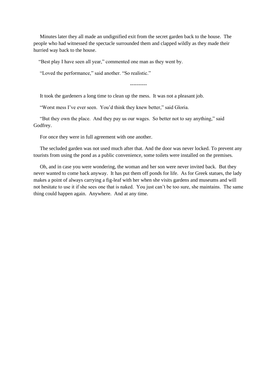Minutes later they all made an undignified exit from the secret garden back to the house. The people who had witnessed the spectacle surrounded them and clapped wildly as they made their hurried way back to the house.

"Best play I have seen all year," commented one man as they went by.

"Loved the performance," said another. "So realistic."

----------

It took the gardeners a long time to clean up the mess. It was not a pleasant job.

"Worst mess I've ever seen. You'd think they knew better," said Gloria.

 "But they own the place. And they pay us our wages. So better not to say anything," said Godfrey.

For once they were in full agreement with one another.

 The secluded garden was not used much after that. And the door was never locked. To prevent any tourists from using the pond as a public convenience, some toilets were installed on the premises.

 Oh, and in case you were wondering, the woman and her son were never invited back. But they never wanted to come back anyway. It has put them off ponds for life. As for Greek statues, the lady makes a point of always carrying a fig-leaf with her when she visits gardens and museums and will not hesitate to use it if she sees one that is naked. You just can't be too sure, she maintains. The same thing could happen again. Anywhere. And at any time.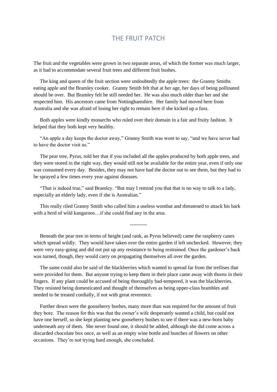## THE FRUIT PATCH

<span id="page-23-0"></span>The fruit and the vegetables were grown in two separate areas, of which the former was much larger, as it had to accommodate several fruit trees and different fruit bushes.

 The king and queen of the fruit section were undoubtedly the apple trees: the Granny Smiths eating apple and the Bramley cooker. Granny Smith felt that at her age, her days of being pollinated should be over. But Bramley felt he still needed her. He was also much older than her and she respected him. His ancestors came from Nottinghamshire. Her family had moved here from Australia and she was afraid of losing her right to remain here if she kicked up a fuss.

 Both apples were kindly monarchs who ruled over their domain in a fair and fruity fashion. It helped that they both kept very healthy.

 "An apple a day keeps the doctor away," Granny Smith was wont to say, "and we have never had to have the doctor visit us."

 The pear tree, Pyrus, told her that if you included all the apples produced by both apple trees, and they were stored in the right way, they would still not be available for the entire year, even if only one was consumed every day. Besides, they may not have had the doctor out to see them, but they had to be sprayed a few times every year against diseases.

 "That is indeed true," said Bramley. "But may I remind you that that is no way to talk to a lady, especially an elderly lady, even if she is Australian."

 This really riled Granny Smith who called him a useless wombat and threatened to attack his bark with a herd of wild kangaroos…if she could find any in the area.

----------

 Beneath the pear tree in terms of height (and rank, as Pyrus believed) came the raspberry canes which spread wildly. They would have taken over the entire garden if left unchecked. However, they were very easy-going and did not put up any resistance to being restrained. Once the gardener's back was turned, though, they would carry on propagating themselves all over the garden.

 The same could also be said of the blackberries which wanted to spread far from the trellises that were provided for them. But anyone trying to keep them in their place came away with thorns in their fingers. If any plant could be accused of being thoroughly bad-tempered, it was the blackberries. They resisted being domesticated and thought of themselves as being upper-class brambles and needed to be treated cordially, if not with great reverence.

 Further down were the gooseberry bushes, many more than was required for the amount of fruit they bore. The reason for this was that the owner's wife desperately wanted a child, but could not have one herself, so she kept planting new gooseberry bushes to see if there was a new-born baby underneath any of them. She never found one, it should be added, although she did come across a discarded chocolate box once, as well as an empty wine bottle and bunches of flowers on other occasions. They're not trying hard enough, she concluded.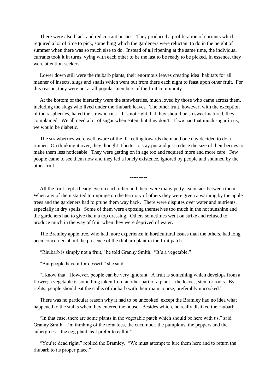There were also black and red currant bushes. They produced a proliferation of currants which required a lot of time to pick, something which the gardeners were reluctant to do in the height of summer when there was so much else to do. Instead of all ripening at the same time, the individual currants took it in turns, vying with each other to be the last to be ready to be picked. In essence, they were attention-seekers.

 Lower down still were the rhubarb plants, their enormous leaves creating ideal habitats for all manner of insects, slugs and snails which went out from there each night to feast upon other fruit. For this reason, they were not at all popular members of the fruit community.

 At the bottom of the hierarchy were the strawberries, much loved by those who came across them, including the slugs who lived under the rhubarb leaves. The other fruit, however, with the exception of the raspberries, hated the strawberries. It's not right that they should be so sweet-natured, they complained. We all need a lot of sugar when eaten, but they don't. If we had that much sugar in us, we would be diabetic.

 The strawberries were well aware of the ill-feeling towards them and one day decided to do a runner. On thinking it over, they thought it better to stay put and just reduce the size of their berries to make them less noticeable. They were getting on in age too and required more and more care. Few people came to see them now and they led a lonely existence, ignored by people and shunned by the other fruit.

----------

 All the fruit kept a beady eye on each other and there were many petty jealousies between them. When any of them started to impinge on the territory of others they were given a warning by the apple trees and the gardeners had to prune them way back. There were disputes over water and nutrients, especially in dry spells. Some of them were exposing themselves too much in the hot sunshine and the gardeners had to give them a top dressing. Others sometimes went on strike and refused to produce much in the way of fruit when they were deprived of water.

 The Bramley apple tree, who had more experience in horticultural issues than the others, had long been concerned about the presence of the rhubarb plant in the fruit patch.

"Rhubarb is simply not a fruit," he told Granny Smith. "It's a vegetable."

"But people have it for dessert," she said.

 "I know that. However, people can be very ignorant. A fruit is something which develops from a flower; a vegetable is something taken from another part of a plant – the leaves, stem or roots. By rights, people should eat the stalks of rhubarb with their main course, preferably uncooked."

 There was no particular reason why it had to be uncooked, except the Bramley had no idea what happened to the stalks when they entered the house. Besides which, he really disliked the rhubarb.

 "In that case, there are some plants in the vegetable patch which should be here with us," said Granny Smith. I'm thinking of the tomatoes, the cucumber, the pumpkins, the peppers and the aubergines – the egg plant, as I prefer to call it."

 "You're dead right," replied the Bramley. "We must attempt to lure them here and to return the rhubarb to its proper place."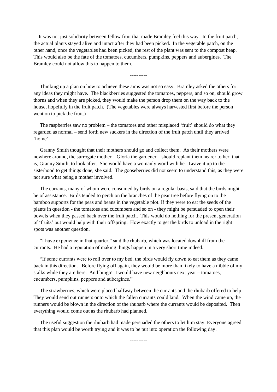It was not just solidarity between fellow fruit that made Bramley feel this way. In the fruit patch, the actual plants stayed alive and intact after they had been picked. In the vegetable patch, on the other hand, once the vegetables had been picked, the rest of the plant was sent to the compost heap. This would also be the fate of the tomatoes, cucumbers, pumpkins, peppers and aubergines. The Bramley could not allow this to happen to them.

----------

 Thinking up a plan on how to achieve these aims was not so easy. Bramley asked the others for any ideas they might have. The blackberries suggested the tomatoes, peppers, and so on, should grow thorns and when they are picked, they would make the person drop them on the way back to the house, hopefully in the fruit patch. (The vegetables were always harvested first before the person went on to pick the fruit.)

 The raspberries saw no problem – the tomatoes and other misplaced 'fruit' should do what they regarded as normal – send forth new suckers in the direction of the fruit patch until they arrived 'home'.

 Granny Smith thought that their mothers should go and collect them. As their mothers were nowhere around, the surrogate mother – Gloria the gardener – should replant them nearer to her, that is, Granny Smith, to look after. She would have a womanly word with her. Leave it up to the sisterhood to get things done, she said. The gooseberries did not seem to understand this, as they were not sure what being a mother involved.

 The currants, many of whom were consumed by birds on a regular basis, said that the birds might be of assistance. Birds tended to perch on the branches of the pear tree before flying on to the bamboo supports for the peas and beans in the vegetable plot. If they were to eat the seeds of the plants in question - the tomatoes and cucumbers and so on - they might be persuaded to open their bowels when they passed back over the fruit patch. This would do nothing for the present generation of 'fruits' but would help with their offspring. How exactly to get the birds to unload in the right spots was another question.

 "I have experience in that quarter," said the rhubarb, which was located downhill from the currants. He had a reputation of making things happen in a very short time indeed.

 "If some currants were to roll over to my bed, the birds would fly down to eat them as they came back in this direction. Before flying off again, they would be more than likely to have a nibble of my stalks while they are here. And bingo! I would have new neighbours next year – tomatoes, cucumbers, pumpkins, peppers and aubergines."

 The strawberries, which were placed halfway between the currants and the rhubarb offered to help. They would send out runners onto which the fallen currants could land. When the wind came up, the runners would be blown in the direction of the rhubarb where the currants would be deposited. Then everything would come out as the rhubarb had planned.

 The useful suggestion the rhubarb had made persuaded the others to let him stay. Everyone agreed that this plan would be worth trying and it was to be put into operation the following day.

----------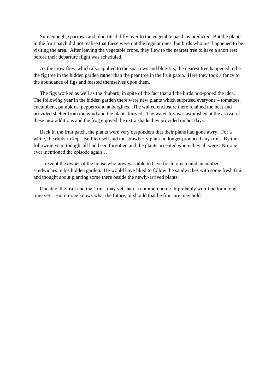Sure enough, sparrows and blue-tits did fly over to the vegetable patch as predicted. But the plants in the fruit patch did not realise that these were not the regular ones, but birds who just happened to be visiting the area. After leaving the vegetable crops, they flew to the nearest tree to have a short rest before their departure flight was scheduled.

 As the crow flies, which also applied to the sparrows and blue-tits, the nearest tree happened to be the fig tree in the hidden garden rather than the pear tree in the fruit patch. Here they took a fancy to the abundance of figs and feasted themselves upon them.

 The figs worked as well as the rhubarb, in spite of the fact that all the birds poo-pooed the idea. The following year in the hidden garden there were new plants which surprised everyone – tomatoes, cucumbers, pumpkins, peppers and aubergines. The walled enclosure there retained the heat and provided shelter from the wind and the plants thrived. The water-lily was astonished at the arrival of these new additions and the frog enjoyed the extra shade they provided on hot days.

 Back in the fruit patch, the plants were very despondent that their plans had gone awry. For a while, the rhubarb kept itself to itself and the strawberry plant no longer produced any fruit. By the following year, though, all had been forgotten and the plants accepted where they all were. No-one ever mentioned the episode again…

 …except the owner of the house who now was able to have fresh tomato and cucumber sandwiches in his hidden garden. He would have liked to follow the sandwiches with some fresh fruit and thought about planting some there beside the newly-arrived plants.

 One day, the fruit and the 'fruit' may yet share a common home. It probably won't be for a long time yet. But no-one knows what the future, or should that be fruit-ure may hold.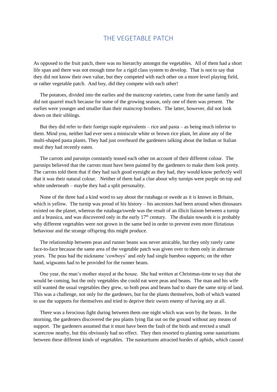#### THE VEGETABLE PATCH

<span id="page-27-0"></span>As opposed to the fruit patch, there was no hierarchy amongst the vegetables. All of them had a short life span and there was not enough time for a rigid class system to develop. That is not to say that they did not know their own value, but they competed with each other on a more level playing field, or rather vegetable patch. And boy, did they compete with each other!

 The potatoes, divided into the earlies and the maincrop varieties, came from the same family and did not quarrel much because for some of the growing season, only one of them was present. The earlies were younger and smaller than their maincrop brothers. The latter, however, did not look down on their siblings.

 But they did refer to their foreign staple equivalents – rice and pasta – as being much inferior to them. Mind you, neither had ever seen a miniscule white or brown rice plant, let alone any of the multi-shaped pasta plants. They had just overheard the gardeners talking about the Indian or Italian meal they had recently eaten.

 The carrots and parsnips constantly teased each other on account of their different colour. The parsnips believed that the carrots must have been painted by the gardeners to make them look pretty. The carrots told them that if they had such good eyesight as they had, they would know perfectly well that it was their natural colour. Neither of them had a clue about why turnips were purple on top and white underneath – maybe they had a split personality.

 None of the three had a kind word to say about the rutabaga or swede as it is known in Britain, which is yellow. The turnip was proud of his history – his ancestors had been around when dinosaurs existed on the planet, whereas the rutabaga/swede was the result of an illicit liaison between a turnip and a brassica, and was discovered only in the early  $17<sup>th</sup>$  century. The disdain towards it is probably why different vegetables were not grown in the same bed in order to prevent even more flirtatious behaviour and the strange offspring this might produce.

 The relationship between peas and runner beans was never amicable, but they only rarely came face-to-face because the same area of the vegetable patch was given over to them only in alternate years. The peas had the nickname 'cowboys' and only had single bamboo supports; on the other hand, wigwams had to be provided for the runner beans.

 One year, the man's mother stayed at the house. She had written at Christmas-time to say that she would be coming, but the only vegetables she could eat were peas and beans. The man and his wife still wanted the usual vegetables they grew, so both peas and beans had to share the same strip of land. This was a challenge, not only for the gardeners, but for the plants themselves, both of which wanted to use the supports for themselves and tried to deprive their sworn enemy of having any at all.

 There was a ferocious fight during between them one night which was won by the beans. In the morning, the gardeners discovered the pea plants lying flat out on the ground without any means of support. The gardeners assumed that it must have been the fault of the birds and erected a small scarecrow nearby, but this obviously had no effect. They then resorted to planting some nasturtiums between these different kinds of vegetables. The nasturtiums attracted hordes of aphids, which caused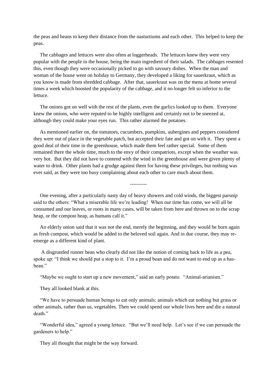the peas and beans to keep their distance from the nasturtiums and each other. This helped to keep the peas.

 The cabbages and lettuces were also often at loggerheads. The lettuces knew they were very popular with the people in the house, being the main ingredient of their salads. The cabbages resented this, even though they were occasionally picked to go with savoury dishes. When the man and woman of the house went on holiday to Germany, they developed a liking for sauerkraut, which as you know is made from shredded cabbage. After that, sauerkraut was on the menu at home several times a week which boosted the popularity of the cabbage, and it no longer felt so inferior to the lettuce.

 The onions got on well with the rest of the plants, even the garlics looked up to them. Everyone knew the onions, who were reputed to be highly intelligent and certainly not to be sneezed at, although they could make your eyes run. This rather alarmed the potatoes.

 As mentioned earlier on, the tomatoes, cucumbers, pumpkins, aubergines and peppers considered they were out of place in the vegetable patch, but accepted their fate and got on with it. They spent a good deal of their time in the greenhouse, which made them feel rather special. Some of them remained there the whole time, much to the envy of their compatriots, except when the weather was very hot. But they did not have to contend with the wind in the greenhouse and were given plenty of water to drink. Other plants had a grudge against them for having these privileges, but nothing was ever said, as they were too busy complaining about each other to care much about them.

 One evening, after a particularly nasty day of heavy showers and cold winds, the biggest parsnip said to the others: "What a miserable life we're leading! When our time has come, we will all be consumed and our leaves, or roots in many cases, will be taken from here and thrown on to the scrap heap, or the compost heap, as humans call it."

----------

 An elderly onion said that it was not the end, merely the beginning, and they would be born again as fresh compost, which would be added to the beloved soil again. And in due course, they may reemerge as a different kind of plant.

 A disgruntled runner bean who clearly did not like the notion of coming back to life as a pea, spoke up: "I think we should put a stop to it. I'm a proud bean and do not want to end up as a hasbean."

"Maybe we ought to start up a new movement," said an early potato. "Animal-arianism."

They all looked blank at this.

 "We have to persuade human beings to eat only animals; animals which eat nothing but grass or other animals, rather than us, vegetables. Then we could spend our whole lives here and die a natural death."

 "Wonderful idea," agreed a young lettuce. "But we'll need help. Let's see if we can persuade the gardeners to help."

They all thought that might be the way forward.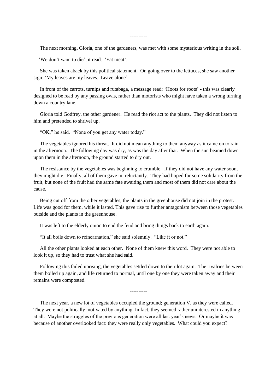----------

The next morning, Gloria, one of the gardeners, was met with some mysterious writing in the soil.

'We don't want to die', it read. 'Eat meat'.

 She was taken aback by this political statement. On going over to the lettuces, she saw another sign: 'My leaves are my leaves. Leave alone'.

 In front of the carrots, turnips and rutabaga, a message read: 'Hoots for roots' - this was clearly designed to be read by any passing owls, rather than motorists who might have taken a wrong turning down a country lane.

 Gloria told Godfrey, the other gardener. He read the riot act to the plants. They did not listen to him and pretended to shrivel up.

"OK," he said. "None of you get any water today."

 The vegetables ignored his threat. It did not mean anything to them anyway as it came on to rain in the afternoon. The following day was dry, as was the day after that. When the sun beamed down upon them in the afternoon, the ground started to dry out.

 The resistance by the vegetables was beginning to crumble. If they did not have any water soon, they might die. Finally, all of them gave in, reluctantly. They had hoped for some solidarity from the fruit, but none of the fruit had the same fate awaiting them and most of them did not care about the cause.

 Being cut off from the other vegetables, the plants in the greenhouse did not join in the protest. Life was good for them, while it lasted. This gave rise to further antagonism between those vegetables outside and the plants in the greenhouse.

It was left to the elderly onion to end the feud and bring things back to earth again.

"It all boils down to reincarnation," she said solemnly. "Like it or not."

 All the other plants looked at each other. None of them knew this word. They were not able to look it up, so they had to trust what she had said.

 Following this failed uprising, the vegetables settled down to their lot again. The rivalries between them boiled up again, and life returned to normal, until one by one they were taken away and their remains were composted.

----------

 The next year, a new lot of vegetables occupied the ground; generation V, as they were called. They were not politically motivated by anything. In fact, they seemed rather uninterested in anything at all. Maybe the struggles of the previous generation were all last year's news. Or maybe it was because of another overlooked fact: they were really only vegetables. What could you expect?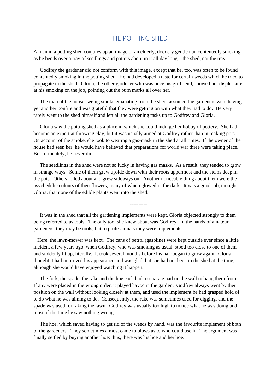#### THE POTTING SHED

<span id="page-30-0"></span>A man in a potting shed conjures up an image of an elderly, doddery gentleman contentedly smoking as he bends over a tray of seedlings and potters about in it all day long – the shed, not the tray.

 Godfrey the gardener did not conform with this image, except that he, too, was often to be found contentedly smoking in the potting shed. He had developed a taste for certain weeds which he tried to propagate in the shed. Gloria, the other gardener who was once his girlfriend, showed her displeasure at his smoking on the job, pointing out the burn marks all over her.

 The man of the house, seeing smoke emanating from the shed, assumed the gardeners were having yet another bonfire and was grateful that they were getting on with what they had to do. He very rarely went to the shed himself and left all the gardening tasks up to Godfrey and Gloria.

 Gloria saw the potting shed as a place in which she could indulge her hobby of pottery. She had become an expert at throwing clay, but it was usually aimed at Godfrey rather than in making pots. On account of the smoke, she took to wearing a gas-mask in the shed at all times. If the owner of the house had seen her, he would have believed that preparations for world war three were taking place. But fortunately, he never did.

 The seedlings in the shed were not so lucky in having gas masks. As a result, they tended to grow in strange ways. Some of them grew upside down with their roots uppermost and the stems deep in the pots. Others lolled about and grew sideways on. Another noticeable thing about them were the psychedelic colours of their flowers, many of which glowed in the dark. It was a good job, thought Gloria, that none of the edible plants went into the shed.

----------

 It was in the shed that all the gardening implements were kept. Gloria objected strongly to them being referred to as tools. The only tool she knew about was Godfrey. In the hands of amateur gardeners, they may be tools, but to professionals they were implements.

 Here, the lawn-mower was kept. The cans of petrol (gasoline) were kept outside ever since a little incident a few years ago, when Godfrey, who was smoking as usual, stood too close to one of them and suddenly lit up, literally. It took several months before his hair began to grow again. Gloria thought it had improved his appearance and was glad that she had not been in the shed at the time, although she would have enjoyed watching it happen.

 The fork, the spade, the rake and the hoe each had a separate nail on the wall to hang them from. If any were placed in the wrong order, it played havoc in the garden. Godfrey always went by their position on the wall without looking closely at them, and used the implement he had grasped hold of to do what he was aiming to do. Consequently, the rake was sometimes used for digging, and the spade was used for raking the lawn. Godfrey was usually too high to notice what he was doing and most of the time he saw nothing wrong.

 The hoe, which saved having to get rid of the weeds by hand, was the favourite implement of both of the gardeners. They sometimes almost came to blows as to who could use it. The argument was finally settled by buying another hoe; thus, there was his hoe and her hoe.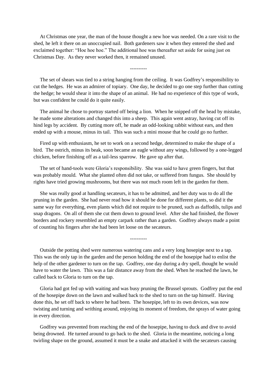At Christmas one year, the man of the house thought a new hoe was needed. On a rare visit to the shed, he left it there on an unoccupied nail. Both gardeners saw it when they entered the shed and exclaimed together: "Hoe hoe hoe." The additional hoe was thereafter set aside for using just on Christmas Day. As they never worked then, it remained unused.

 The set of shears was tied to a string hanging from the ceiling. It was Godfrey's responsibility to cut the hedges. He was an admirer of topiary. One day, he decided to go one step further than cutting the hedge; he would shear it into the shape of an animal. He had no experience of this type of work, but was confident he could do it quite easily.

----------

 The animal he chose to portray started off being a lion. When he snipped off the head by mistake, he made some alterations and changed this into a sheep. This again went astray, having cut off its hind legs by accident. By cutting more off, he made an odd-looking rabbit without ears, and then ended up with a mouse, minus its tail. This was such a mini mouse that he could go no further.

 Fired up with enthusiasm, he set to work on a second hedge, determined to make the shape of a bird. The ostrich, minus its beak, soon became an eagle without any wings, followed by a one-legged chicken, before finishing off as a tail-less sparrow. He gave up after that.

 The set of hand-tools were Gloria's responsibility. She was said to have green fingers, but that was probably mould. What she planted often did not take, or suffered from fungus. She should by rights have tried growing mushrooms, but there was not much room left in the garden for them.

 She was really good at handling secateurs, it has to be admitted, and her duty was to do all the pruning in the garden. She had never read how it should be done for different plants, so did it the same way for everything, even plants which did not require to be pruned, such as daffodils, tulips and snap dragons. On all of them she cut them down to ground level. After she had finished, the flower borders and rockery resembled an empty carpark rather than a garden. Godfrey always made a point of counting his fingers after she had been let loose on the secateurs.

----------

 Outside the potting shed were numerous watering cans and a very long hosepipe next to a tap. This was the only tap in the garden and the person holding the end of the hosepipe had to enlist the help of the other gardener to turn on the tap. Godfrey, one day during a dry spell, thought he would have to water the lawn. This was a fair distance away from the shed. When he reached the lawn, he called back to Gloria to turn on the tap.

 Gloria had got fed up with waiting and was busy pruning the Brussel sprouts. Godfrey put the end of the hosepipe down on the lawn and walked back to the shed to turn on the tap himself. Having done this, he set off back to where he had been. The hosepipe, left to its own devices, was now twisting and turning and writhing around, enjoying its moment of freedom, the sprays of water going in every direction.

 Godfrey was prevented from reaching the end of the hosepipe, having to duck and dive to avoid being drowned. He turned around to go back to the shed. Gloria in the meantime, noticing a long twirling shape on the ground, assumed it must be a snake and attacked it with the secateurs causing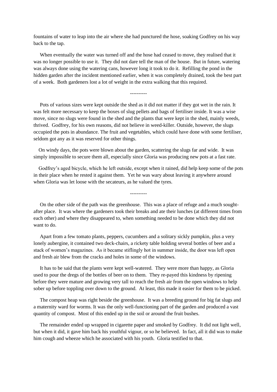fountains of water to leap into the air where she had punctured the hose, soaking Godfrey on his way back to the tap.

 When eventually the water was turned off and the hose had ceased to move, they realised that it was no longer possible to use it. They did not dare tell the man of the house. But in future, watering was always done using the watering cans, however long it took to do it. Refilling the pond in the hidden garden after the incident mentioned earlier, when it was completely drained, took the best part of a week. Both gardeners lost a lot of weight in the extra walking that this required.

----------

 Pots of various sizes were kept outside the shed as it did not matter if they got wet in the rain. It was felt more necessary to keep the boxes of slug pellets and bags of fertiliser inside. It was a wise move, since no slugs were found in the shed and the plants that were kept in the shed, mainly weeds, thrived. Godfrey, for his own reasons, did not believe in weed-killer. Outside, however, the slugs occupied the pots in abundance. The fruit and vegetables, which could have done with some fertiliser, seldom got any as it was reserved for other things.

 On windy days, the pots were blown about the garden, scattering the slugs far and wide. It was simply impossible to secure them all, especially since Gloria was producing new pots at a fast rate.

 Godfrey's aged bicycle, which he left outside, except when it rained, did help keep some of the pots in their place when he rested it against them. Yet he was wary about leaving it anywhere around when Gloria was let loose with the secateurs, as he valued the tyres.

----------

 On the other side of the path was the greenhouse. This was a place of refuge and a much soughtafter place. It was where the gardeners took their breaks and ate their lunches (at different times from each other) and where they disappeared to, when something needed to be done which they did not want to do.

 Apart from a few tomato plants, peppers, cucumbers and a solitary sickly pumpkin, plus a very lonely aubergine, it contained two deck-chairs, a rickety table holding several bottles of beer and a stack of women's magazines. As it became stiflingly hot in summer inside, the door was left open and fresh air blew from the cracks and holes in some of the windows.

 It has to be said that the plants were kept well-watered. They were more than happy, as Gloria used to pour the dregs of the bottles of beer on to them. They re-payed this kindness by ripening before they were mature and growing very tall to reach the fresh air from the open windows to help sober up before toppling over down to the ground. At least, this made it easier for them to be picked.

 The compost heap was right beside the greenhouse. It was a breeding ground for big fat slugs and a maternity ward for worms. It was the only well-functioning part of the garden and produced a vast quantity of compost. Most of this ended up in the soil or around the fruit bushes.

 The remainder ended up wrapped in cigarette paper and smoked by Godfrey. It did not light well, but when it did, it gave him back his youthful vigour, or so he believed. In fact, all it did was to make him cough and wheeze which he associated with his youth. Gloria testified to that.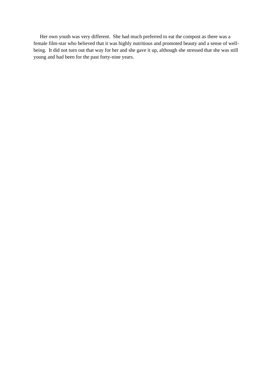Her own youth was very different. She had much preferred to eat the compost as there was a female film-star who believed that it was highly nutritious and promoted beauty and a sense of wellbeing. It did not turn out that way for her and she gave it up, although she stressed that she was still young and had been for the past forty-nine years.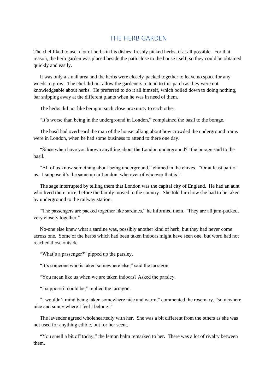#### THE HERB GARDEN

<span id="page-34-0"></span>The chef liked to use a lot of herbs in his dishes: freshly picked herbs, if at all possible. For that reason, the herb garden was placed beside the path close to the house itself, so they could be obtained quickly and easily.

 It was only a small area and the herbs were closely-packed together to leave no space for any weeds to grow. The chef did not allow the gardeners to tend to this patch as they were not knowledgeable about herbs. He preferred to do it all himself, which boiled down to doing nothing, bar snipping away at the different plants when he was in need of them.

The herbs did not like being in such close proximity to each other.

"It's worse than being in the underground in London," complained the basil to the borage.

 The basil had overheard the man of the house talking about how crowded the underground trains were in London, when he had some business to attend to there one day.

 "Since when have you known anything about the London underground?" the borage said to the basil.

 "All of us know something about being underground," chimed in the chives. "Or at least part of us. I suppose it's the same up in London, wherever of whoever that is."

 The sage interrupted by telling them that London was the capital city of England. He had an aunt who lived there once, before the family moved to the country. She told him how she had to be taken by underground to the railway station.

 "The passengers are packed together like sardines," he informed them. "They are all jam-packed, very closely together."

 No-one else knew what a sardine was, possibly another kind of herb, but they had never come across one. Some of the herbs which had been taken indoors might have seen one, but word had not reached those outside.

"What's a passenger?" pipped up the parsley.

"It's someone who is taken somewhere else," said the tarragon.

"You mean like us when we are taken indoors? Asked the parsley.

"I suppose it could be," replied the tarragon.

 "I wouldn't mind being taken somewhere nice and warm," commented the rosemary, "somewhere nice and sunny where I feel I belong."

 The lavender agreed wholeheartedly with her. She was a bit different from the others as she was not used for anything edible, but for her scent.

 "You smell a bit off today," the lemon balm remarked to her. There was a lot of rivalry between them.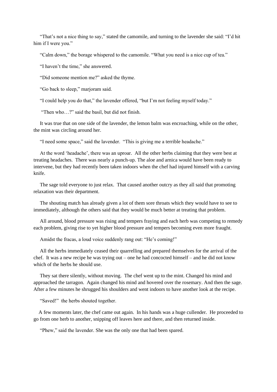"That's not a nice thing to say," stated the camomile, and turning to the lavender she said: "I'd hit him if I were you."

"Calm down," the borage whispered to the camomile. "What you need is a nice cup of tea."

"I haven't the time," she answered.

"Did someone mention me?" asked the thyme.

"Go back to sleep," marjoram said.

"I could help you do that," the lavender offered, "but I'm not feeling myself today."

"Then who…?" said the basil, but did not finish.

 It was true that on one side of the lavender, the lemon balm was encroaching, while on the other, the mint was circling around her.

"I need some space," said the lavender. "This is giving me a terrible headache."

 At the word 'headache', there was an uproar. All the other herbs claiming that they were best at treating headaches. There was nearly a punch-up. The aloe and arnica would have been ready to intervene, but they had recently been taken indoors when the chef had injured himself with a carving knife.

 The sage told everyone to just relax. That caused another outcry as they all said that promoting relaxation was their department.

 The shouting match has already given a lot of them sore throats which they would have to see to immediately, although the others said that they would be much better at treating that problem.

 All around, blood pressure was rising and tempers fraying and each herb was competing to remedy each problem, giving rise to yet higher blood pressure and tempers becoming even more fraught.

Amidst the fracas, a loud voice suddenly rang out: "He's coming!"

 All the herbs immediately ceased their quarrelling and prepared themselves for the arrival of the chef. It was a new recipe he was trying out – one he had concocted himself – and he did not know which of the herbs he should use.

 They sat there silently, without moving. The chef went up to the mint. Changed his mind and approached the tarragon. Again changed his mind and hovered over the rosemary. And then the sage. After a few minutes he shrugged his shoulders and went indoors to have another look at the recipe.

"Saved!" the herbs shouted together.

 A few moments later, the chef came out again. In his hands was a huge cullender. He proceeded to go from one herb to another, snipping off leaves here and there, and then returned inside.

"Phew," said the lavender. She was the only one that had been spared.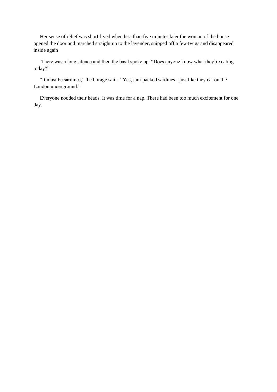Her sense of relief was short-lived when less than five minutes later the woman of the house opened the door and marched straight up to the lavender, snipped off a few twigs and disappeared inside again

 There was a long silence and then the basil spoke up: "Does anyone know what they're eating today?"

 "It must be sardines," the borage said. "Yes, jam-packed sardines - just like they eat on the London underground."

 Everyone nodded their heads. It was time for a nap. There had been too much excitement for one day.